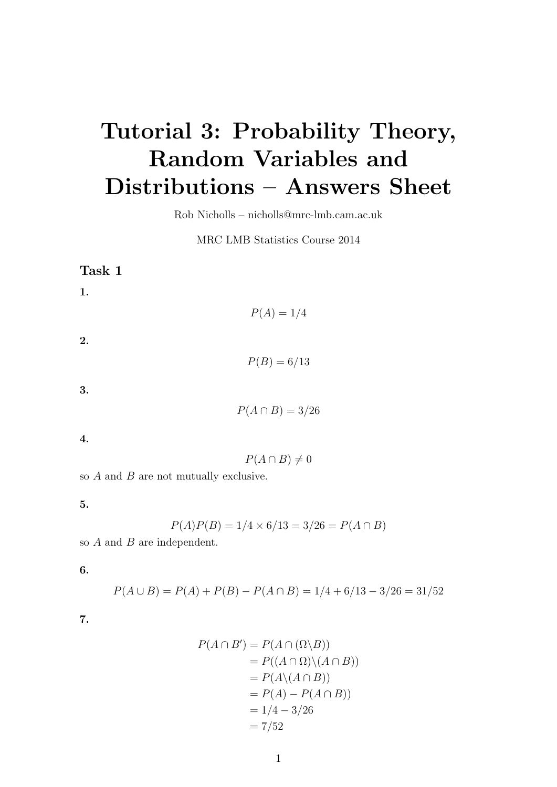# Tutorial 3: Probability Theory, Random Variables and Distributions – Answers Sheet

Rob Nicholls – nicholls@mrc-lmb.cam.ac.uk

MRC LMB Statistics Course 2014

| Task 1                                |                      |
|---------------------------------------|----------------------|
| 1.                                    |                      |
|                                       | $P(A) = 1/4$         |
| 2.                                    |                      |
|                                       | $P(B) = 6/13$        |
| 3.                                    |                      |
|                                       | $P(A \cap B) = 3/26$ |
| 4.                                    |                      |
|                                       | $P(A \cap B) \neq 0$ |
| so A and P are not mutually evolutive |                      |

so A and B are not mutually exclusive.

5.

$$
P(A)P(B) = 1/4 \times 6/13 = 3/26 = P(A \cap B)
$$

so  $A$  and  $B$  are independent.

6.

$$
P(A \cup B) = P(A) + P(B) - P(A \cap B) = 1/4 + 6/13 - 3/26 = 31/52
$$

7.

$$
P(A \cap B') = P(A \cap (\Omega \setminus B))
$$
  
=  $P((A \cap \Omega) \setminus (A \cap B))$   
=  $P(A \setminus (A \cap B))$   
=  $P(A) - P(A \cap B)$   
=  $1/4 - 3/26$   
=  $7/52$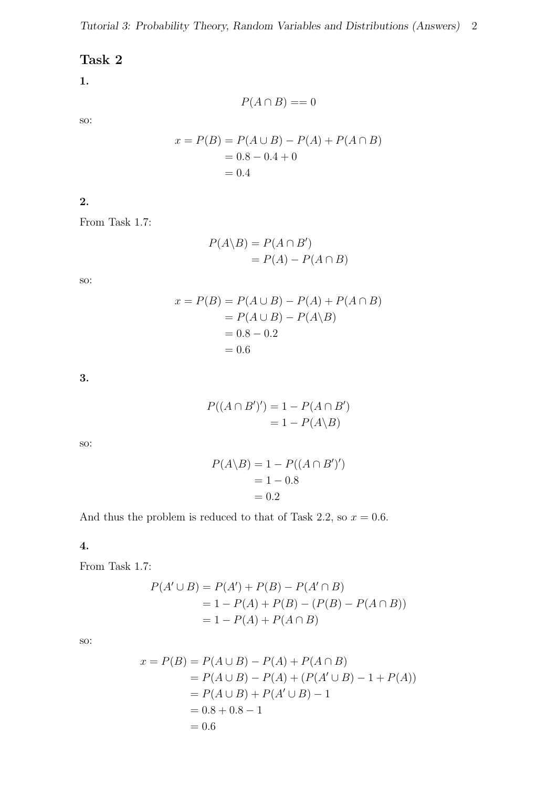# Task 2

#### 1.

so:

$$
x = P(B) = P(A \cup B) - P(A) + P(A \cap B)
$$
  
= 0.8 - 0.4 + 0  
= 0.4

 $P(A \cap B) == 0$ 

2.

From Task 1.7:

$$
P(A \backslash B) = P(A \cap B')
$$
  
=  $P(A) - P(A \cap B)$ 

so:

$$
x = P(B) = P(A \cup B) - P(A) + P(A \cap B)
$$
  
= P(A \cup B) - P(A \setminus B)  
= 0.8 - 0.2  
= 0.6

3.

$$
P((A \cap B')') = 1 - P(A \cap B')
$$
  
= 1 - P(A \setminus B)

so:

$$
P(A \backslash B) = 1 - P((A \cap B')')
$$
  
= 1 - 0.8  
= 0.2

And thus the problem is reduced to that of Task 2.2, so  $x = 0.6$ .

4.

From Task 1.7:

$$
P(A' \cup B) = P(A') + P(B) - P(A' \cap B)
$$
  
= 1 - P(A) + P(B) - (P(B) - P(A \cap B))  
= 1 - P(A) + P(A \cap B)

so:

$$
x = P(B) = P(A \cup B) - P(A) + P(A \cap B)
$$
  
=  $P(A \cup B) - P(A) + (P(A' \cup B) - 1 + P(A))$   
=  $P(A \cup B) + P(A' \cup B) - 1$   
= 0.8 + 0.8 - 1  
= 0.6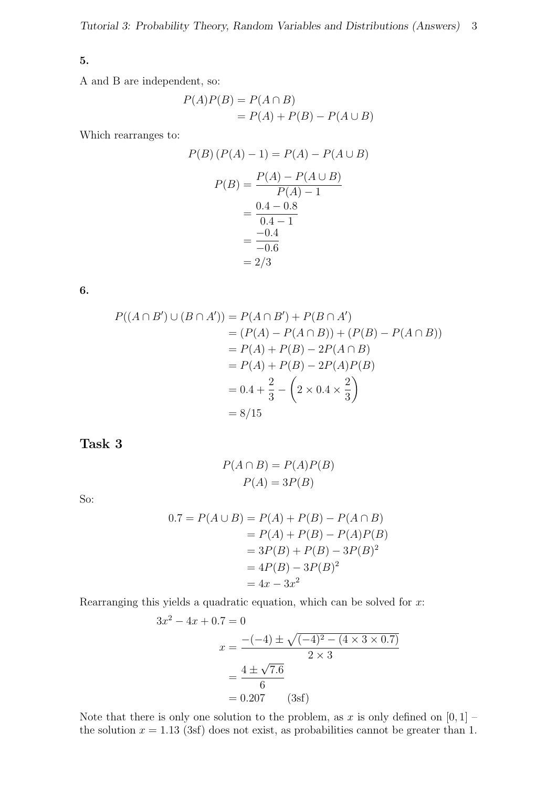#### 5.

A and B are independent, so:

$$
P(A)P(B) = P(A \cap B)
$$
  
= P(A) + P(B) - P(A \cup B)

Which rearranges to:

$$
P(B) (P(A) - 1) = P(A) - P(A \cup B)
$$
  
\n
$$
P(B) = \frac{P(A) - P(A \cup B)}{P(A) - 1}
$$
  
\n
$$
= \frac{0.4 - 0.8}{0.4 - 1}
$$
  
\n
$$
= \frac{-0.4}{-0.6}
$$
  
\n
$$
= 2/3
$$

6.

$$
P((A \cap B') \cup (B \cap A')) = P(A \cap B') + P(B \cap A')
$$
  
= (P(A) - P(A \cap B)) + (P(B) - P(A \cap B))  
= P(A) + P(B) - 2P(A \cap B)  
= P(A) + P(B) - 2P(A)P(B)  
= 0.4 +  $\frac{2}{3}$  -  $\left(2 \times 0.4 \times \frac{2}{3}\right)$   
= 8/15

Task 3

$$
P(A \cap B) = P(A)P(B)
$$

$$
P(A) = 3P(B)
$$

So:

$$
0.7 = P(A \cup B) = P(A) + P(B) - P(A \cap B)
$$
  
= P(A) + P(B) - P(A)P(B)  
= 3P(B) + P(B) - 3P(B)<sup>2</sup>  
= 4P(B) - 3P(B)<sup>2</sup>  
= 4x - 3x<sup>2</sup>

Rearranging this yields a quadratic equation, which can be solved for  $x$ :

$$
3x2 - 4x + 0.7 = 0
$$
  

$$
x = \frac{-(-4) \pm \sqrt{(-4)^{2} - (4 \times 3 \times 0.7)}}{2 \times 3}
$$
  

$$
= \frac{4 \pm \sqrt{7.6}}{6}
$$
  
= 0.207 (3sf)

Note that there is only one solution to the problem, as x is only defined on  $[0, 1]$  – the solution  $x = 1.13$  (3sf) does not exist, as probabilities cannot be greater than 1.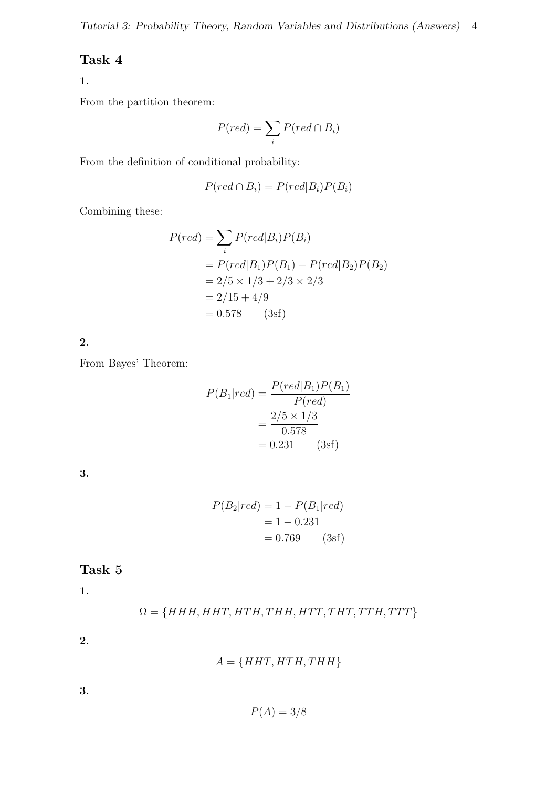# Task 4

### 1.

From the partition theorem:

$$
P(\text{red}) = \sum_{i} P(\text{red} \cap B_i)
$$

From the definition of conditional probability:

$$
P(\text{red} \cap B_i) = P(\text{red}|B_i)P(B_i)
$$

Combining these:

$$
P(\text{red}) = \sum_{i} P(\text{red}|B_i)P(B_i)
$$
  
=  $P(\text{red}|B_1)P(B_1) + P(\text{red}|B_2)P(B_2)$   
=  $2/5 \times 1/3 + 2/3 \times 2/3$   
=  $2/15 + 4/9$   
= 0.578 (3sf)

2.

From Bayes' Theorem:

$$
P(B_1|red) = \frac{P(\text{red}|B_1)P(B_1)}{P(\text{red})}
$$

$$
= \frac{2/5 \times 1/3}{0.578}
$$

$$
= 0.231 \qquad (3sf)
$$

3.

$$
P(B_2|red) = 1 - P(B_1|red)
$$

$$
= 1 - 0.231
$$

$$
= 0.769 \qquad (3sf)
$$

# Task 5

1.

$$
\Omega = \{HHH, HHT, HTH, THH, HTT, THT, TTH, TTT\}
$$

2.

 $A = \{HHT, HTH, THH\}$ 

3.

$$
P(A) = 3/8
$$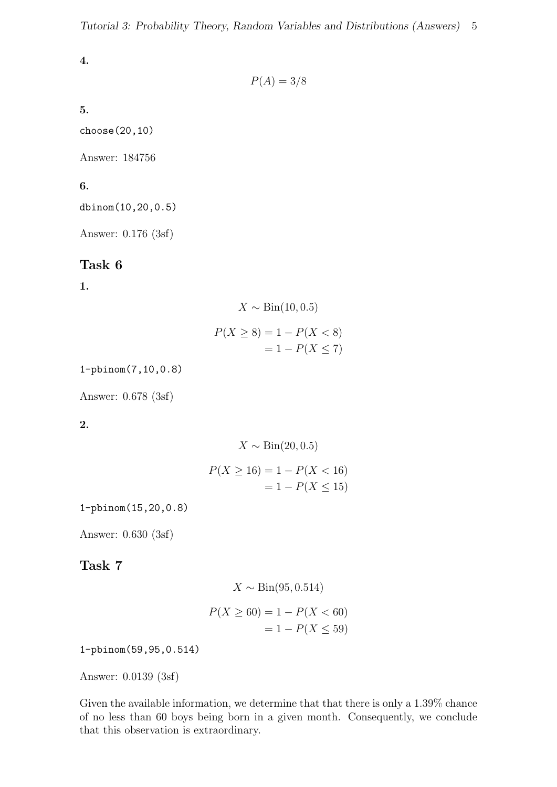4.

$$
P(A) = 3/8
$$

5.

choose(20,10)

Answer: 184756

6.

dbinom(10,20,0.5)

Answer: 0.176 (3sf)

#### Task 6

1.

$$
X \sim \text{Bin}(10, 0.5)
$$

$$
P(X \ge 8) = 1 - P(X < 8)
$$
\n
$$
= 1 - P(X \le 7)
$$

1-pbinom(7,10,0.8)

Answer: 0.678 (3sf)

2.

$$
X \sim \text{Bin}(20, 0.5)
$$

$$
P(X \ge 16) = 1 - P(X < 16) \\
 = 1 - P(X \le 15)
$$

1-pbinom(15,20,0.8)

Answer: 0.630 (3sf)

#### Task 7

$$
X \sim \text{Bin}(95, 0.514)
$$

$$
P(X \ge 60) = 1 - P(X < 60)
$$

$$
= 1 - P(X \le 59)
$$

1-pbinom(59,95,0.514)

Answer: 0.0139 (3sf)

Given the available information, we determine that that there is only a 1.39% chance of no less than 60 boys being born in a given month. Consequently, we conclude that this observation is extraordinary.